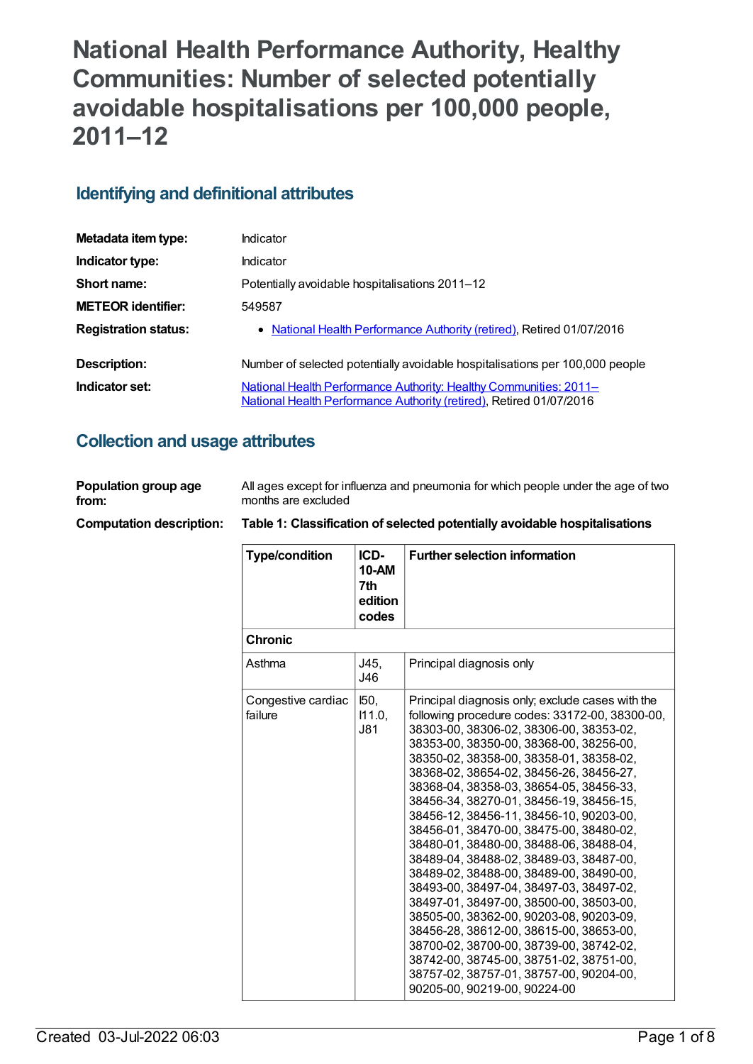# **National Health Performance Authority, Healthy Communities: Number of selected potentially avoidable hospitalisations per 100,000 people, 2011–12**

# **Identifying and definitional attributes**

| Metadata item type:         | Indicator                                                                                                                                |
|-----------------------------|------------------------------------------------------------------------------------------------------------------------------------------|
| Indicator type:             | Indicator                                                                                                                                |
| Short name:                 | Potentially avoidable hospitalisations 2011–12                                                                                           |
| <b>METEOR identifier:</b>   | 549587                                                                                                                                   |
| <b>Registration status:</b> | • National Health Performance Authority (retired), Retired 01/07/2016                                                                    |
| Description:                | Number of selected potentially avoidable hospitalisations per 100,000 people                                                             |
| Indicator set:              | National Health Performance Authority: Healthy Communities: 2011-<br>National Health Performance Authority (retired), Retired 01/07/2016 |

# **Collection and usage attributes**

| Population group age            | All ages except for influenza and pneumonia for which people under the age of two |
|---------------------------------|-----------------------------------------------------------------------------------|
| from:                           | months are excluded                                                               |
| <b>Computation description:</b> | Table 1: Classification of selected potentially avoidable hospitalisations        |

| <b>Type/condition</b>         | ICD-<br>10-AM<br>7th<br>edition<br>codes | <b>Further selection information</b>                                                                                                                                                                                                                                                                                                                                                                                                                                                                                                                                                                                                                                                                                                                                                                                                                                                                                                     |
|-------------------------------|------------------------------------------|------------------------------------------------------------------------------------------------------------------------------------------------------------------------------------------------------------------------------------------------------------------------------------------------------------------------------------------------------------------------------------------------------------------------------------------------------------------------------------------------------------------------------------------------------------------------------------------------------------------------------------------------------------------------------------------------------------------------------------------------------------------------------------------------------------------------------------------------------------------------------------------------------------------------------------------|
| <b>Chronic</b>                |                                          |                                                                                                                                                                                                                                                                                                                                                                                                                                                                                                                                                                                                                                                                                                                                                                                                                                                                                                                                          |
| Asthma                        | J45,<br>J46                              | Principal diagnosis only                                                                                                                                                                                                                                                                                                                                                                                                                                                                                                                                                                                                                                                                                                                                                                                                                                                                                                                 |
| Congestive cardiac<br>failure | I50,<br>111.0,<br><b>J81</b>             | Principal diagnosis only; exclude cases with the<br>following procedure codes: 33172-00, 38300-00,<br>38303-00, 38306-02, 38306-00, 38353-02,<br>38353-00, 38350-00, 38368-00, 38256-00,<br>38350-02, 38358-00, 38358-01, 38358-02,<br>38368-02, 38654-02, 38456-26, 38456-27,<br>38368-04, 38358-03, 38654-05, 38456-33,<br>38456-34, 38270-01, 38456-19, 38456-15,<br>38456-12, 38456-11, 38456-10, 90203-00,<br>38456-01, 38470-00, 38475-00, 38480-02,<br>38480-01, 38480-00, 38488-06, 38488-04,<br>38489-04, 38488-02, 38489-03, 38487-00,<br>38489-02, 38488-00, 38489-00, 38490-00,<br>38493-00, 38497-04, 38497-03, 38497-02,<br>38497-01, 38497-00, 38500-00, 38503-00,<br>38505-00, 38362-00, 90203-08, 90203-09,<br>38456-28, 38612-00, 38615-00, 38653-00,<br>38700-02, 38700-00, 38739-00, 38742-02,<br>38742-00, 38745-00, 38751-02, 38751-00,<br>38757-02, 38757-01, 38757-00, 90204-00,<br>90205-00, 90219-00, 90224-00 |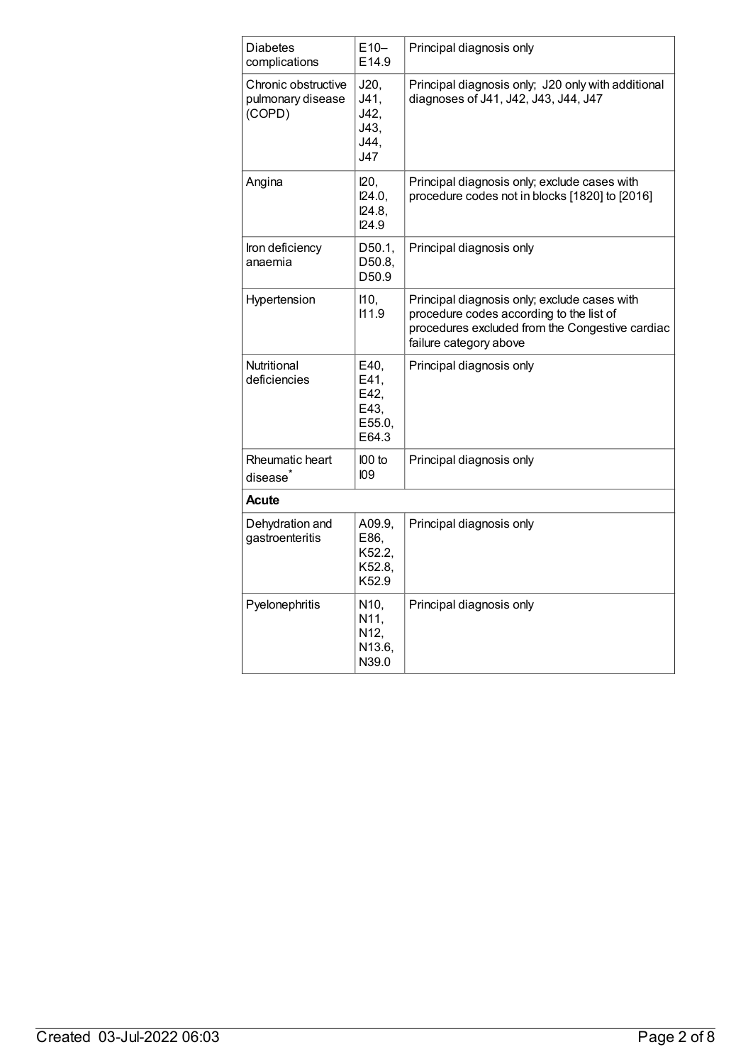| <b>Diabetes</b><br>complications                   | $E10-$<br>E14.9                                      | Principal diagnosis only                                                                                                                                              |
|----------------------------------------------------|------------------------------------------------------|-----------------------------------------------------------------------------------------------------------------------------------------------------------------------|
| Chronic obstructive<br>pulmonary disease<br>(COPD) | J20,<br>J41,<br>J42,<br>J43,<br>J44,<br>J47          | Principal diagnosis only; J20 only with additional<br>diagnoses of J41, J42, J43, J44, J47                                                                            |
| Angina                                             | 120,<br>124.0,<br>124.8,<br>124.9                    | Principal diagnosis only; exclude cases with<br>procedure codes not in blocks [1820] to [2016]                                                                        |
| Iron deficiency<br>anaemia                         | D50.1,<br>D50.8,<br>D50.9                            | Principal diagnosis only                                                                                                                                              |
| Hypertension                                       | 110,<br>111.9                                        | Principal diagnosis only; exclude cases with<br>procedure codes according to the list of<br>procedures excluded from the Congestive cardiac<br>failure category above |
| Nutritional<br>deficiencies                        | E40,<br>E41,<br>E42,<br>E43,<br>E55.0,<br>E64.3      | Principal diagnosis only                                                                                                                                              |
| Rheumatic heart<br>disease <sup>*</sup>            | I00 to<br>109                                        | Principal diagnosis only                                                                                                                                              |
| Acute                                              |                                                      |                                                                                                                                                                       |
| Dehydration and<br>gastroenteritis                 | A09.9,<br>E86,<br>K52.2,<br>K52.8,<br>K52.9          | Principal diagnosis only                                                                                                                                              |
| Pyelonephritis                                     | N <sub>10</sub> ,<br>N11,<br>N12,<br>N13.6,<br>N39.0 | Principal diagnosis only                                                                                                                                              |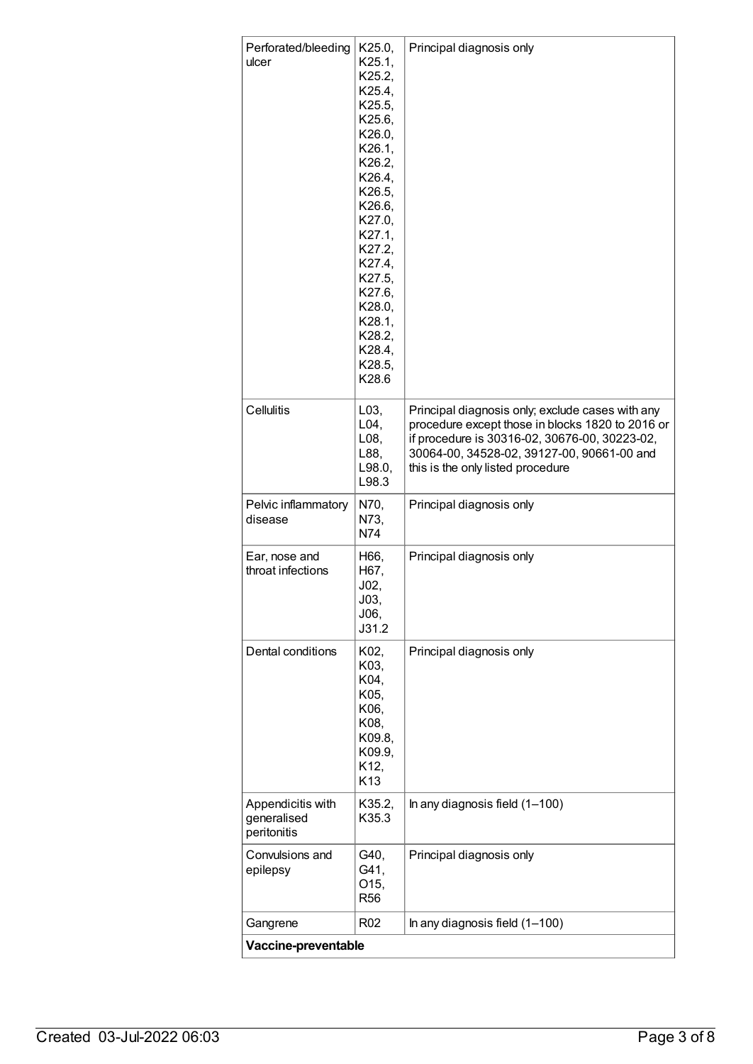| Perforated/bleeding<br>ulcer                    | K25.0,<br>K25.1,                                                                                                                                                                                               | Principal diagnosis only                                                                                                                                                             |
|-------------------------------------------------|----------------------------------------------------------------------------------------------------------------------------------------------------------------------------------------------------------------|--------------------------------------------------------------------------------------------------------------------------------------------------------------------------------------|
|                                                 | K25.2,<br>K25.4,<br>K25.5,<br>K25.6,<br>K26.0,<br>K26.1,<br>K26.2,<br>K26.4,<br>K26.5,<br>K26.6,<br>K27.0,<br>K27.1,<br>K27.2,<br>K27.4,<br>K27.5,<br>K27.6,<br>K28.0,<br>K28.1,<br>K28.2,<br>K28.4,<br>K28.5, |                                                                                                                                                                                      |
| Cellulitis                                      | K28.6<br>L03,                                                                                                                                                                                                  | Principal diagnosis only; exclude cases with any                                                                                                                                     |
|                                                 | L04,<br>L08,<br>L88,<br>L98.0,<br>L98.3                                                                                                                                                                        | procedure except those in blocks 1820 to 2016 or<br>if procedure is 30316-02, 30676-00, 30223-02,<br>30064-00, 34528-02, 39127-00, 90661-00 and<br>this is the only listed procedure |
| Pelvic inflammatory<br>disease                  | N70,<br>N73,<br>N74                                                                                                                                                                                            | Principal diagnosis only                                                                                                                                                             |
| Ear, nose and<br>throat infections              | H66,<br>H67,<br>J02,<br>J03,<br>J06,<br>J31.2                                                                                                                                                                  | Principal diagnosis only                                                                                                                                                             |
| Dental conditions                               | K02,<br>K03,<br>K04,<br>K05,<br>K06,<br>K08,<br>K09.8,<br>K09.9,<br>K12,<br>K13                                                                                                                                | Principal diagnosis only                                                                                                                                                             |
| Appendicitis with<br>generalised<br>peritonitis | K35.2,<br>K35.3                                                                                                                                                                                                | In any diagnosis field $(1-100)$                                                                                                                                                     |
| Convulsions and<br>epilepsy                     | G40,<br>G41,<br>O15,<br>R <sub>56</sub>                                                                                                                                                                        | Principal diagnosis only                                                                                                                                                             |
| Gangrene                                        | R <sub>02</sub>                                                                                                                                                                                                | In any diagnosis field (1-100)                                                                                                                                                       |
| Vaccine-preventable                             |                                                                                                                                                                                                                |                                                                                                                                                                                      |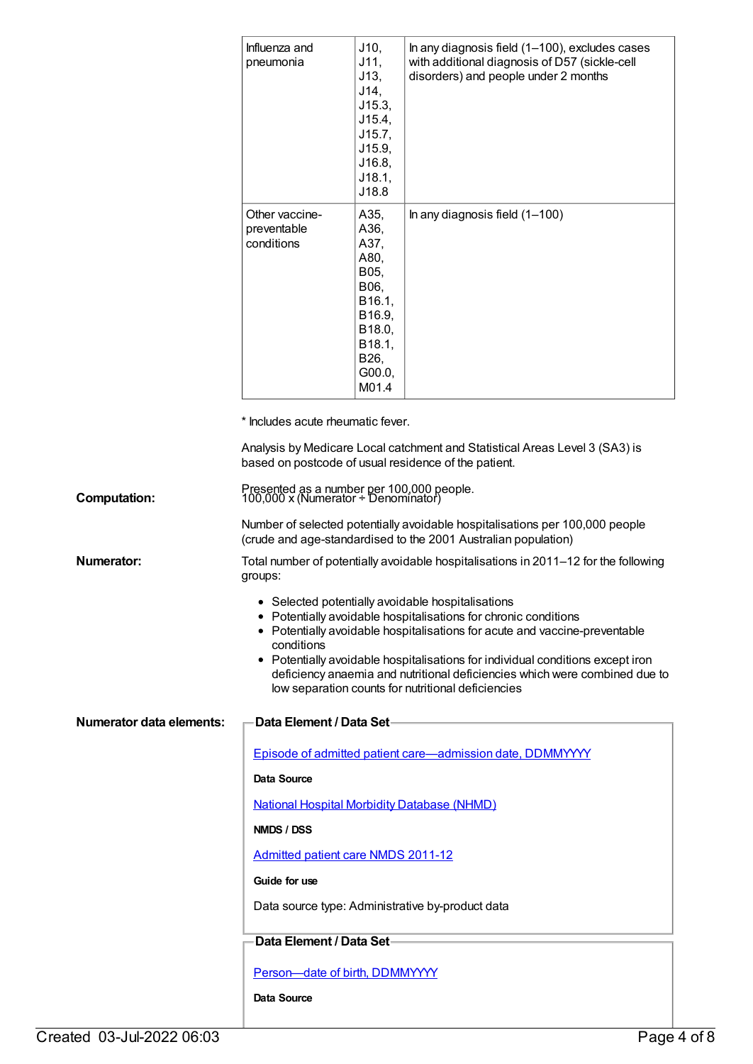|                                 | Influenza and<br>pneumonia                                                       | J10,<br>J11,<br>J13,<br>J14,<br>J15.3,<br>J15.4,<br>J15.7,<br>J15.9,<br>J16.8,<br>J18.1,<br>J18.8               | In any diagnosis field (1-100), excludes cases<br>with additional diagnosis of D57 (sickle-cell<br>disorders) and people under 2 months                                                                                                                                                                                                                                                                                  |
|---------------------------------|----------------------------------------------------------------------------------|-----------------------------------------------------------------------------------------------------------------|--------------------------------------------------------------------------------------------------------------------------------------------------------------------------------------------------------------------------------------------------------------------------------------------------------------------------------------------------------------------------------------------------------------------------|
|                                 | Other vaccine-<br>preventable<br>conditions                                      | A35,<br>A36,<br>A37,<br>A80,<br>B05,<br>B06,<br>B16.1,<br>B16.9,<br>B18.0,<br>B18.1,<br>B26,<br>G00.0,<br>M01.4 | In any diagnosis field $(1-100)$                                                                                                                                                                                                                                                                                                                                                                                         |
|                                 | * Includes acute rheumatic fever.                                                |                                                                                                                 |                                                                                                                                                                                                                                                                                                                                                                                                                          |
|                                 | based on postcode of usual residence of the patient.                             |                                                                                                                 | Analysis by Medicare Local catchment and Statistical Areas Level 3 (SA3) is                                                                                                                                                                                                                                                                                                                                              |
| <b>Computation:</b>             | Presented as a number per 100,000 people.<br>100,000 x (Numerator ÷ Denominator) |                                                                                                                 |                                                                                                                                                                                                                                                                                                                                                                                                                          |
|                                 |                                                                                  |                                                                                                                 | Number of selected potentially avoidable hospitalisations per 100,000 people<br>(crude and age-standardised to the 2001 Australian population)                                                                                                                                                                                                                                                                           |
| <b>Numerator:</b>               | groups:                                                                          |                                                                                                                 | Total number of potentially avoidable hospitalisations in 2011-12 for the following                                                                                                                                                                                                                                                                                                                                      |
|                                 | conditions                                                                       |                                                                                                                 | • Selected potentially avoidable hospitalisations<br>• Potentially avoidable hospitalisations for chronic conditions<br>• Potentially avoidable hospitalisations for acute and vaccine-preventable<br>• Potentially avoidable hospitalisations for individual conditions except iron<br>deficiency anaemia and nutritional deficiencies which were combined due to<br>low separation counts for nutritional deficiencies |
| <b>Numerator data elements:</b> | Data Element / Data Set-                                                         |                                                                                                                 |                                                                                                                                                                                                                                                                                                                                                                                                                          |
|                                 |                                                                                  |                                                                                                                 | Episode of admitted patient care—admission date, DDMMYYYY                                                                                                                                                                                                                                                                                                                                                                |
|                                 | Data Source                                                                      |                                                                                                                 |                                                                                                                                                                                                                                                                                                                                                                                                                          |
|                                 | <b>National Hospital Morbidity Database (NHMD)</b>                               |                                                                                                                 |                                                                                                                                                                                                                                                                                                                                                                                                                          |
|                                 | NMDS / DSS                                                                       |                                                                                                                 |                                                                                                                                                                                                                                                                                                                                                                                                                          |
|                                 | <b>Admitted patient care NMDS 2011-12</b>                                        |                                                                                                                 |                                                                                                                                                                                                                                                                                                                                                                                                                          |
|                                 | Guide for use                                                                    |                                                                                                                 |                                                                                                                                                                                                                                                                                                                                                                                                                          |
|                                 |                                                                                  |                                                                                                                 | Data source type: Administrative by-product data                                                                                                                                                                                                                                                                                                                                                                         |
|                                 | Data Element / Data Set-                                                         |                                                                                                                 |                                                                                                                                                                                                                                                                                                                                                                                                                          |
|                                 | Person-date of birth, DDMMYYYY                                                   |                                                                                                                 |                                                                                                                                                                                                                                                                                                                                                                                                                          |
|                                 | Data Source                                                                      |                                                                                                                 |                                                                                                                                                                                                                                                                                                                                                                                                                          |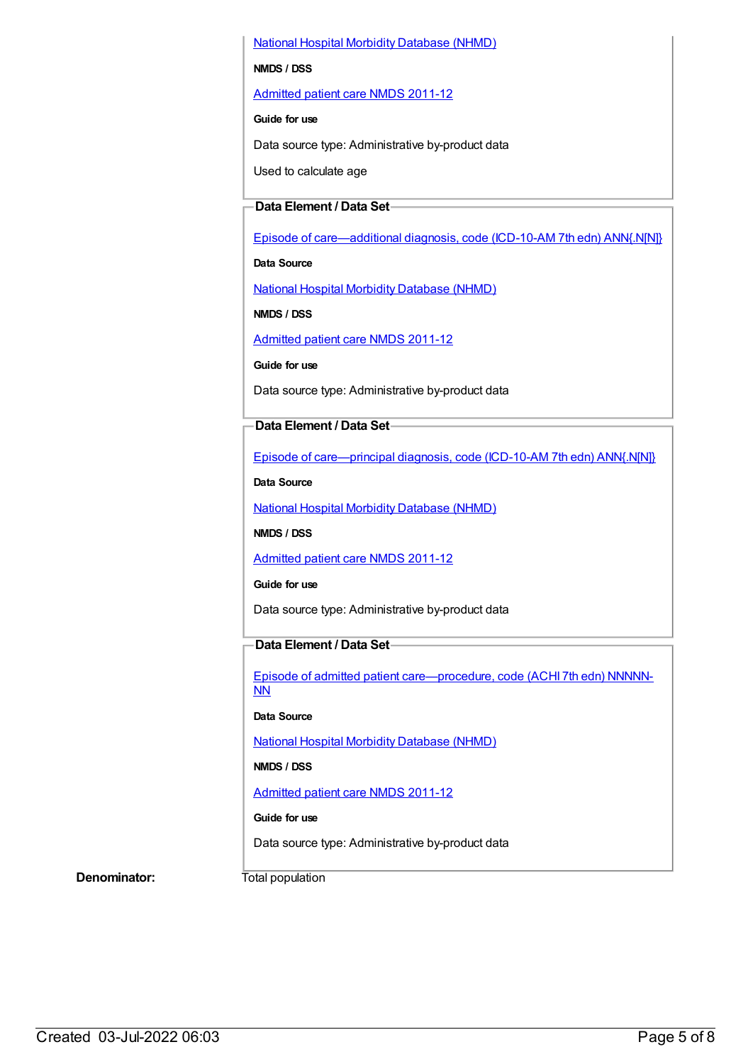National Hospital Morbidity [Database](https://meteor.aihw.gov.au/content/394352) (NHMD)

#### **NMDS / DSS**

[Admitted](https://meteor.aihw.gov.au/content/426861) patient care NMDS 2011-12

#### **Guide for use**

Data source type: Administrative by-product data

Used to calculate age

### **Data Element / Data Set**

Episode of [care—additional](https://meteor.aihw.gov.au/content/391322) diagnosis, code (ICD-10-AM 7th edn) ANN{.N[N]}

**Data Source**

National Hospital Morbidity [Database](https://meteor.aihw.gov.au/content/394352) (NHMD)

**NMDS / DSS**

[Admitted](https://meteor.aihw.gov.au/content/426861) patient care NMDS 2011-12

**Guide for use**

Data source type: Administrative by-product data

### **Data Element / Data Set**

Episode of [care—principal](https://meteor.aihw.gov.au/content/391326) diagnosis, code (ICD-10-AM 7th edn) ANN{.N[N]}

**Data Source**

National Hospital Morbidity [Database](https://meteor.aihw.gov.au/content/394352) (NHMD)

**NMDS / DSS**

[Admitted](https://meteor.aihw.gov.au/content/426861) patient care NMDS 2011-12

#### **Guide for use**

Data source type: Administrative by-product data

### **Data Element / Data Set**

Episode of admitted patient [care—procedure,](https://meteor.aihw.gov.au/content/391349) code (ACHI 7th edn) NNNNN-NN

### **Data Source**

National Hospital Morbidity [Database](https://meteor.aihw.gov.au/content/394352) (NHMD)

### **NMDS / DSS**

[Admitted](https://meteor.aihw.gov.au/content/426861) patient care NMDS 2011-12

### **Guide for use**

Data source type: Administrative by-product data

**Denominator:** Total population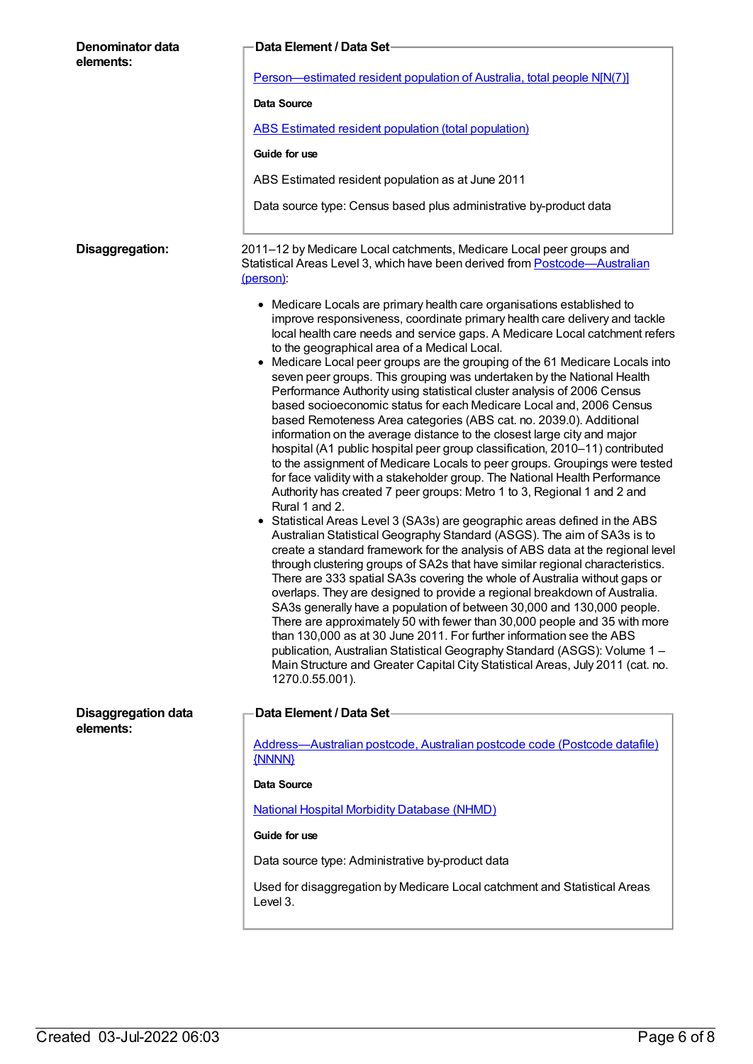| Denominator data<br>elements:           | <b>Data Element / Data Set-</b><br>Person—estimated resident population of Australia, total people N[N(7)]                                                                                                                                                                                                                                                                                                                                                                                                                                                                                                                                                                                                                                                                                                                                                                                                                                                                                                                                                                                                                                                                                                                                                                                                                                                                                                                                                                                                                                                                                                                                                                                                                                                                                                                                                                                                                                                                                       |  |  |
|-----------------------------------------|--------------------------------------------------------------------------------------------------------------------------------------------------------------------------------------------------------------------------------------------------------------------------------------------------------------------------------------------------------------------------------------------------------------------------------------------------------------------------------------------------------------------------------------------------------------------------------------------------------------------------------------------------------------------------------------------------------------------------------------------------------------------------------------------------------------------------------------------------------------------------------------------------------------------------------------------------------------------------------------------------------------------------------------------------------------------------------------------------------------------------------------------------------------------------------------------------------------------------------------------------------------------------------------------------------------------------------------------------------------------------------------------------------------------------------------------------------------------------------------------------------------------------------------------------------------------------------------------------------------------------------------------------------------------------------------------------------------------------------------------------------------------------------------------------------------------------------------------------------------------------------------------------------------------------------------------------------------------------------------------------|--|--|
|                                         | Data Source                                                                                                                                                                                                                                                                                                                                                                                                                                                                                                                                                                                                                                                                                                                                                                                                                                                                                                                                                                                                                                                                                                                                                                                                                                                                                                                                                                                                                                                                                                                                                                                                                                                                                                                                                                                                                                                                                                                                                                                      |  |  |
|                                         | ABS Estimated resident population (total population)                                                                                                                                                                                                                                                                                                                                                                                                                                                                                                                                                                                                                                                                                                                                                                                                                                                                                                                                                                                                                                                                                                                                                                                                                                                                                                                                                                                                                                                                                                                                                                                                                                                                                                                                                                                                                                                                                                                                             |  |  |
|                                         | Guide for use                                                                                                                                                                                                                                                                                                                                                                                                                                                                                                                                                                                                                                                                                                                                                                                                                                                                                                                                                                                                                                                                                                                                                                                                                                                                                                                                                                                                                                                                                                                                                                                                                                                                                                                                                                                                                                                                                                                                                                                    |  |  |
|                                         | ABS Estimated resident population as at June 2011                                                                                                                                                                                                                                                                                                                                                                                                                                                                                                                                                                                                                                                                                                                                                                                                                                                                                                                                                                                                                                                                                                                                                                                                                                                                                                                                                                                                                                                                                                                                                                                                                                                                                                                                                                                                                                                                                                                                                |  |  |
|                                         | Data source type: Census based plus administrative by-product data                                                                                                                                                                                                                                                                                                                                                                                                                                                                                                                                                                                                                                                                                                                                                                                                                                                                                                                                                                                                                                                                                                                                                                                                                                                                                                                                                                                                                                                                                                                                                                                                                                                                                                                                                                                                                                                                                                                               |  |  |
| Disaggregation:                         | 2011-12 by Medicare Local catchments, Medicare Local peer groups and<br>Statistical Areas Level 3, which have been derived from Postcode-Australian<br>(person):                                                                                                                                                                                                                                                                                                                                                                                                                                                                                                                                                                                                                                                                                                                                                                                                                                                                                                                                                                                                                                                                                                                                                                                                                                                                                                                                                                                                                                                                                                                                                                                                                                                                                                                                                                                                                                 |  |  |
|                                         | • Medicare Locals are primary health care organisations established to<br>improve responsiveness, coordinate primary health care delivery and tackle<br>local health care needs and service gaps. A Medicare Local catchment refers<br>to the geographical area of a Medical Local.<br>Medicare Local peer groups are the grouping of the 61 Medicare Locals into<br>seven peer groups. This grouping was undertaken by the National Health<br>Performance Authority using statistical cluster analysis of 2006 Census<br>based socioeconomic status for each Medicare Local and, 2006 Census<br>based Remoteness Area categories (ABS cat. no. 2039.0). Additional<br>information on the average distance to the closest large city and major<br>hospital (A1 public hospital peer group classification, 2010-11) contributed<br>to the assignment of Medicare Locals to peer groups. Groupings were tested<br>for face validity with a stakeholder group. The National Health Performance<br>Authority has created 7 peer groups: Metro 1 to 3, Regional 1 and 2 and<br>Rural 1 and 2.<br>• Statistical Areas Level 3 (SA3s) are geographic areas defined in the ABS<br>Australian Statistical Geography Standard (ASGS). The aim of SA3s is to<br>create a standard framework for the analysis of ABS data at the regional level<br>through clustering groups of SA2s that have similar regional characteristics.<br>There are 333 spatial SA3s covering the whole of Australia without gaps or<br>overlaps. They are designed to provide a regional breakdown of Australia.<br>SA3s generally have a population of between 30,000 and 130,000 people.<br>There are approximately 50 with fewer than 30,000 people and 35 with more<br>than 130,000 as at 30 June 2011. For further information see the ABS<br>publication, Australian Statistical Geography Standard (ASGS): Volume 1 -<br>Main Structure and Greater Capital City Statistical Areas, July 2011 (cat. no.<br>1270.0.55.001). |  |  |
| <b>Disaggregation data</b><br>elements: | Data Element / Data Set                                                                                                                                                                                                                                                                                                                                                                                                                                                                                                                                                                                                                                                                                                                                                                                                                                                                                                                                                                                                                                                                                                                                                                                                                                                                                                                                                                                                                                                                                                                                                                                                                                                                                                                                                                                                                                                                                                                                                                          |  |  |
|                                         | Address-Australian postcode, Australian postcode code (Postcode datafile)<br>{NNNN}                                                                                                                                                                                                                                                                                                                                                                                                                                                                                                                                                                                                                                                                                                                                                                                                                                                                                                                                                                                                                                                                                                                                                                                                                                                                                                                                                                                                                                                                                                                                                                                                                                                                                                                                                                                                                                                                                                              |  |  |
|                                         | Data Source                                                                                                                                                                                                                                                                                                                                                                                                                                                                                                                                                                                                                                                                                                                                                                                                                                                                                                                                                                                                                                                                                                                                                                                                                                                                                                                                                                                                                                                                                                                                                                                                                                                                                                                                                                                                                                                                                                                                                                                      |  |  |
|                                         | <b>National Hospital Morbidity Database (NHMD)</b>                                                                                                                                                                                                                                                                                                                                                                                                                                                                                                                                                                                                                                                                                                                                                                                                                                                                                                                                                                                                                                                                                                                                                                                                                                                                                                                                                                                                                                                                                                                                                                                                                                                                                                                                                                                                                                                                                                                                               |  |  |
|                                         | Guide for use                                                                                                                                                                                                                                                                                                                                                                                                                                                                                                                                                                                                                                                                                                                                                                                                                                                                                                                                                                                                                                                                                                                                                                                                                                                                                                                                                                                                                                                                                                                                                                                                                                                                                                                                                                                                                                                                                                                                                                                    |  |  |
|                                         | Data source type: Administrative by-product data                                                                                                                                                                                                                                                                                                                                                                                                                                                                                                                                                                                                                                                                                                                                                                                                                                                                                                                                                                                                                                                                                                                                                                                                                                                                                                                                                                                                                                                                                                                                                                                                                                                                                                                                                                                                                                                                                                                                                 |  |  |
|                                         | Used for disaggregation by Medicare Local catchment and Statistical Areas<br>Level 3.                                                                                                                                                                                                                                                                                                                                                                                                                                                                                                                                                                                                                                                                                                                                                                                                                                                                                                                                                                                                                                                                                                                                                                                                                                                                                                                                                                                                                                                                                                                                                                                                                                                                                                                                                                                                                                                                                                            |  |  |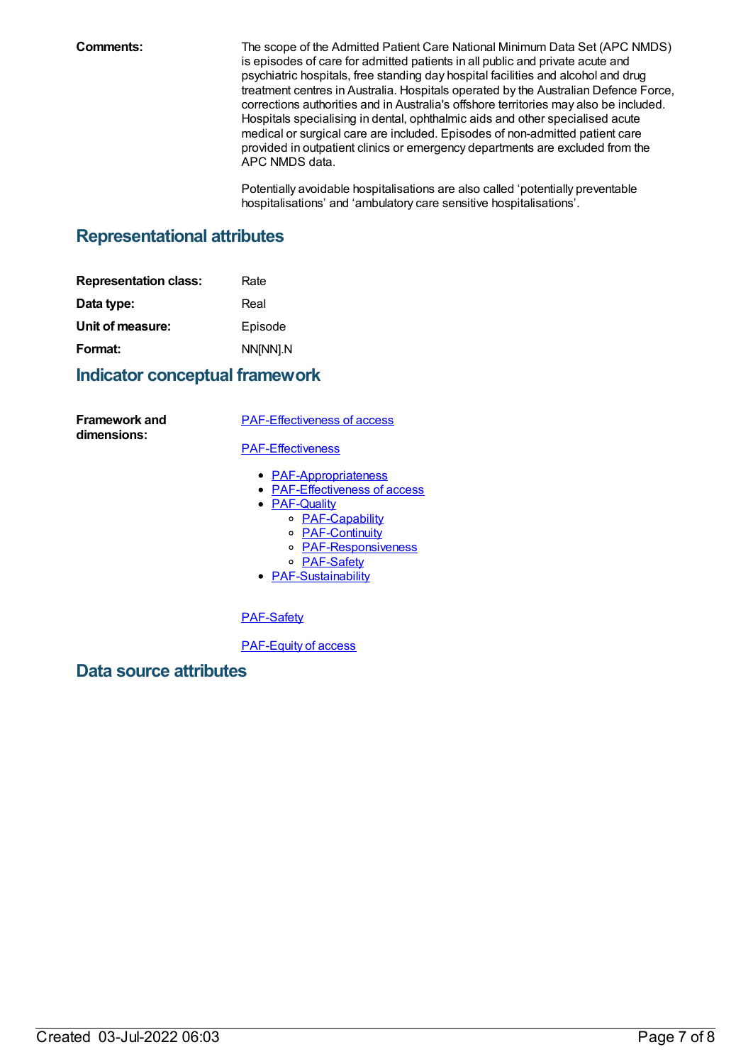**Comments:** The scope of the Admitted Patient Care National Minimum Data Set (APC NMDS) is episodes of care for admitted patients in all public and private acute and psychiatric hospitals, free standing day hospital facilities and alcohol and drug treatment centres in Australia. Hospitals operated by the Australian Defence Force, corrections authorities and in Australia's offshore territories may also be included. Hospitals specialising in dental, ophthalmic aids and other specialised acute medical or surgical care are included. Episodes of non-admitted patient care provided in outpatient clinics or emergency departments are excluded from the APC NMDS data.

> Potentially avoidable hospitalisations are also called 'potentially preventable hospitalisations' and 'ambulatory care sensitive hospitalisations'.

# **Representational attributes**

| Rate     |
|----------|
| Real     |
| Episode  |
| NN[NN].N |
|          |

## **Indicator conceptual framework**

**Framework and dimensions:**

[PAF-Effectiveness](https://meteor.aihw.gov.au/content/554928) of access

#### [PAF-Effectiveness](https://meteor.aihw.gov.au/content/554925)

- [PAF-Appropriateness](https://meteor.aihw.gov.au/content/554929)
- [PAF-Effectiveness](https://meteor.aihw.gov.au/content/554928) of access
- **[PAF-Quality](https://meteor.aihw.gov.au/content/554930)** 
	- o **[PAF-Capability](https://meteor.aihw.gov.au/content/554934)**
	- [PAF-Continuity](https://meteor.aihw.gov.au/content/554935)
	- [PAF-Responsiveness](https://meteor.aihw.gov.au/content/554933)
	- o [PAF-Safety](https://meteor.aihw.gov.au/content/554932)
- [PAF-Sustainability](https://meteor.aihw.gov.au/content/554931)

### [PAF-Safety](https://meteor.aihw.gov.au/content/554932)

[PAF-Equity](https://meteor.aihw.gov.au/content/554927) of access

**Data source attributes**